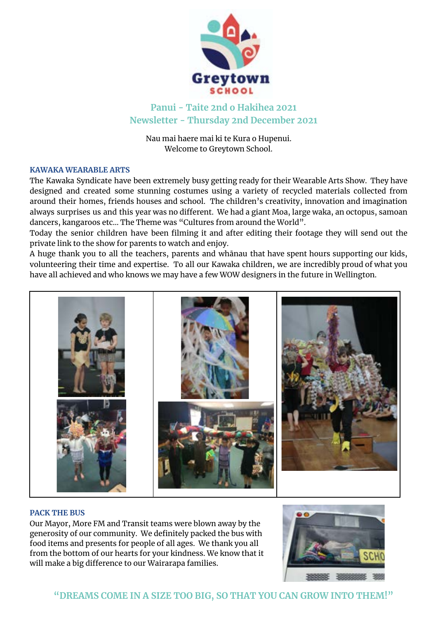

**Panui - Taite 2nd o Hakihea 2021 Newsletter - Thursday 2nd December 2021**

Nau mai haere mai ki te Kura o Hupenui. Welcome to Greytown School.

# **KAWAKA WEARABLE ARTS**

The Kawaka Syndicate have been extremely busy getting ready for their Wearable Arts Show. They have designed and created some stunning costumes using a variety of recycled materials collected from around their homes, friends houses and school. The children's creativity, innovation and imagination always surprises us and this year was no different. We had a giant Moa, large waka, an octopus, samoan dancers, kangaroos etc… The Theme was "Cultures from around the World".

Today the senior children have been filming it and after editing their footage they will send out the private link to the show for parents to watch and enjoy.

A huge thank you to all the teachers, parents and whānau that have spent hours supporting our kids, volunteering their time and expertise. To all our Kawaka children, we are incredibly proud of what you have all achieved and who knows we may have a few WOW designers in the future in Wellington.



### **PACK THE BUS**

Our Mayor, More FM and Transit teams were blown away by the generosity of our community. We definitely packed the bus with food items and presents for people of all ages. We thank you all from the bottom of our hearts for your kindness. We know that it will make a big difference to our Wairarapa families.

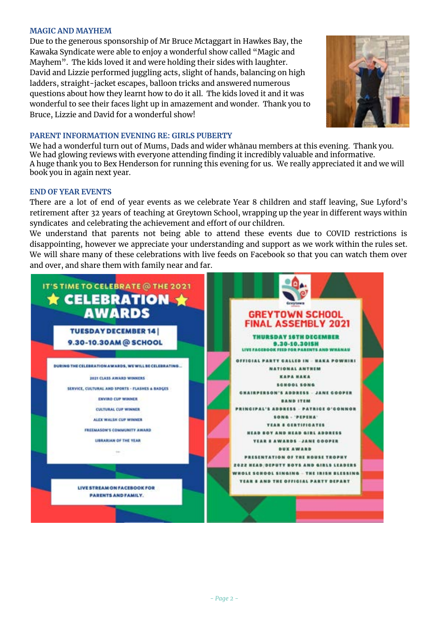### **MAGIC AND MAYHEM**

Due to the generous sponsorship of Mr Bruce Mctaggart in Hawkes Bay, the Kawaka Syndicate were able to enjoy a wonderful show called "Magic and Mayhem". The kids loved it and were holding their sides with laughter. David and Lizzie performed juggling acts, slight of hands, balancing on high ladders, straight-jacket escapes, balloon tricks and answered numerous questions about how they learnt how to do it all. The kids loved it and it was wonderful to see their faces light up in amazement and wonder. Thank you to Bruce, Lizzie and David for a wonderful show!



## **PARENT INFORMATION EVENING RE: GIRLS PUBERTY**

We had a wonderful turn out of Mums, Dads and wider whānau members at this evening. Thank you. We had glowing reviews with everyone attending finding it incredibly valuable and informative. A huge thank you to Bex Henderson for running this evening for us. We really appreciated it and we will book you in again next year.

### **END OF YEAR EVENTS**

There are a lot of end of year events as we celebrate Year 8 children and staff leaving, Sue Lyford's retirement after 32 years of teaching at Greytown School, wrapping up the year in different ways within syndicates and celebrating the achievement and effort of our children.

We understand that parents not being able to attend these events due to COVID restrictions is disappointing, however we appreciate your understanding and support as we work within the rules set. We will share many of these celebrations with live feeds on Facebook so that you can watch them over and over, and share them with family near and far.

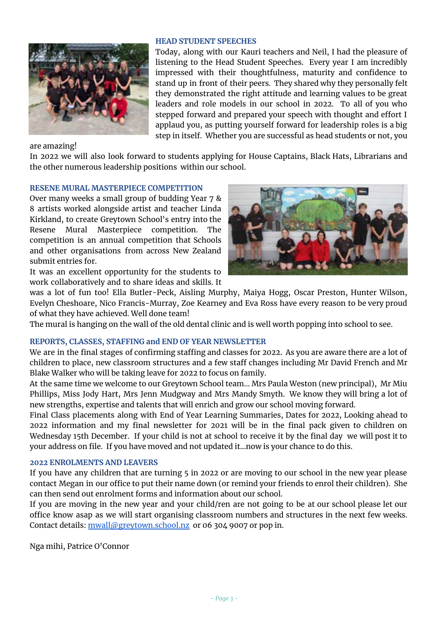

# **HEAD STUDENT SPEECHES**

Today, along with our Kauri teachers and Neil, I had the pleasure of listening to the Head Student Speeches. Every year I am incredibly impressed with their thoughtfulness, maturity and confidence to stand up in front of their peers. They shared why they personally felt they demonstrated the right attitude and learning values to be great leaders and role models in our school in 2022. To all of you who stepped forward and prepared your speech with thought and effort I applaud you, as putting yourself forward for leadership roles is a big step in itself. Whether you are successful as head students or not, you

are amazing!

In 2022 we will also look forward to students applying for House Captains, Black Hats, Librarians and the other numerous leadership positions within our school.

### **RESENE MURAL MASTERPIECE COMPETITION**

Over many weeks a small group of budding Year 7 & 8 artists worked alongside artist and teacher Linda Kirkland, to create Greytown School's entry into the Resene Mural Masterpiece competition. The competition is an annual competition that Schools and other organisations from across New Zealand submit entries for.

It was an excellent opportunity for the students to work collaboratively and to share ideas and skills. It



was a lot of fun too! Ella Butler-Peck, Aisling Murphy, Maiya Hogg, Oscar Preston, Hunter Wilson, Evelyn Cheshoare, Nico Francis-Murray, Zoe Kearney and Eva Ross have every reason to be very proud of what they have achieved. Well done team!

The mural is hanging on the wall of the old dental clinic and is well worth popping into school to see.

# **REPORTS, CLASSES, STAFFING and END OF YEAR NEWSLETTER**

We are in the final stages of confirming staffing and classes for 2022. As you are aware there are a lot of children to place, new classroom structures and a few staff changes including Mr David French and Mr Blake Walker who will be taking leave for 2022 to focus on family.

At the same time we welcome to our Greytown School team... Mrs Paula Weston (new principal), Mr Miu Phillips, Miss Jody Hart, Mrs Jenn Mudgway and Mrs Mandy Smyth. We know they will bring a lot of new strengths, expertise and talents that will enrich and grow our school moving forward.

Final Class placements along with End of Year Learning Summaries, Dates for 2022, Looking ahead to 2022 information and my final newsletter for 2021 will be in the final pack given to children on Wednesday 15th December. If your child is not at school to receive it by the final day we will post it to your address on file. If you have moved and not updated it...now is your chance to do this.

# **2022 ENROLMENTS AND LEAVERS**

If you have any children that are turning 5 in 2022 or are moving to our school in the new year please contact Megan in our office to put their name down (or remind your friends to enrol their children). She can then send out enrolment forms and information about our school.

If you are moving in the new year and your child/ren are not going to be at our school please let our office know asap as we will start organising classroom numbers and structures in the next few weeks. Contact details: [mwall@greytown.school.nz](mailto:mwall@greytown.school.nz) or 06 304 9007 or pop in.

Nga mihi, Patrice O'Connor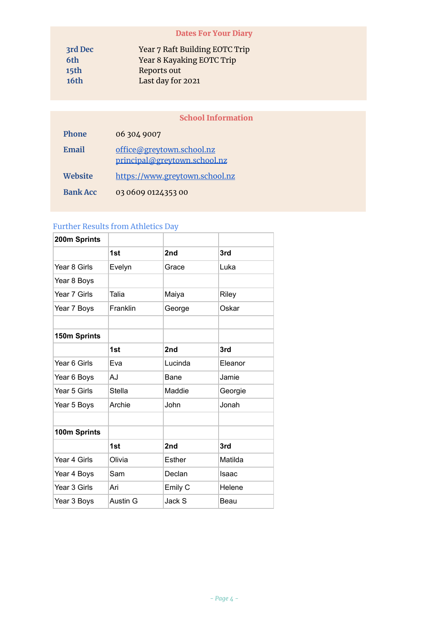# Dates For Your Diary

| 3rd Dec          | Year 7 Raft Building EOTC Trip |
|------------------|--------------------------------|
| 6th              | Year 8 Kayaking EOTC Trip      |
| 15 <sub>th</sub> | Reports out                    |
| 16th             | Last day for 2021              |

# School Information

| <b>Phone</b>    | 06 304 9007                                               |
|-----------------|-----------------------------------------------------------|
| Email           | office@greytown.school.nz<br>principal@greytown.school.nz |
| <b>Website</b>  | https://www.greytown.school.nz                            |
| <b>Bank Acc</b> | 03 0609 0124353 00                                        |

# Further Results from Athletics Day

| 200m Sprints |          |               |         |
|--------------|----------|---------------|---------|
|              | 1st      | 2nd           | 3rd     |
| Year 8 Girls | Evelyn   | Grace         | Luka    |
| Year 8 Boys  |          |               |         |
| Year 7 Girls | Talia    | Maiya         | Riley   |
| Year 7 Boys  | Franklin | George        | Oskar   |
|              |          |               |         |
| 150m Sprints |          |               |         |
|              | 1st      | 2nd           | 3rd     |
| Year 6 Girls | Eva      | Lucinda       | Eleanor |
| Year 6 Boys  | AJ       | Bane          | Jamie   |
| Year 5 Girls | Stella   | Maddie        | Georgie |
| Year 5 Boys  | Archie   | <b>John</b>   | Jonah   |
|              |          |               |         |
| 100m Sprints |          |               |         |
|              | 1st      | 2nd           | 3rd     |
| Year 4 Girls | Olivia   | <b>Esther</b> | Matilda |
| Year 4 Boys  | Sam      | Declan        | Isaac   |
| Year 3 Girls | Ari      | Emily C       | Helene  |
| Year 3 Boys  | Austin G | Jack S        | Beau    |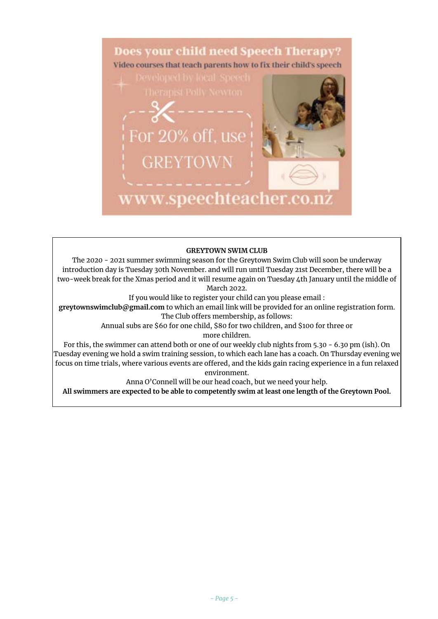

#### **GREYTOWN SWIM CLUB**

The 2020 - 2021 summer swimming season for the Greytown Swim Club will soon be underway introduction day is Tuesday 30th November. and will run until Tuesday 21st December, there will be a two-week break for the Xmas period and it will resume again on Tuesday 4th January until the middle of March 2022.

If you would like to register your child can you please email :

**greytownswimclub@gmail.com** to which an email link will be provided for an online registration form. The Club offers membership, as follows:

> Annual subs are \$60 for one child, \$80 for two children, and \$100 for three or more children.

For this, the swimmer can attend both or one of our weekly club nights from 5.30 - 6.30 pm (ish). On Tuesday evening we hold a swim training session, to which each lane has a coach. On Thursday evening we focus on time trials, where various events are offered, and the kids gain racing experience in a fun relaxed environment.

Anna O'Connell will be our head coach, but we need your help.

**All swimmers are expected to be able to competently swim at least one length of the Greytown Pool.**